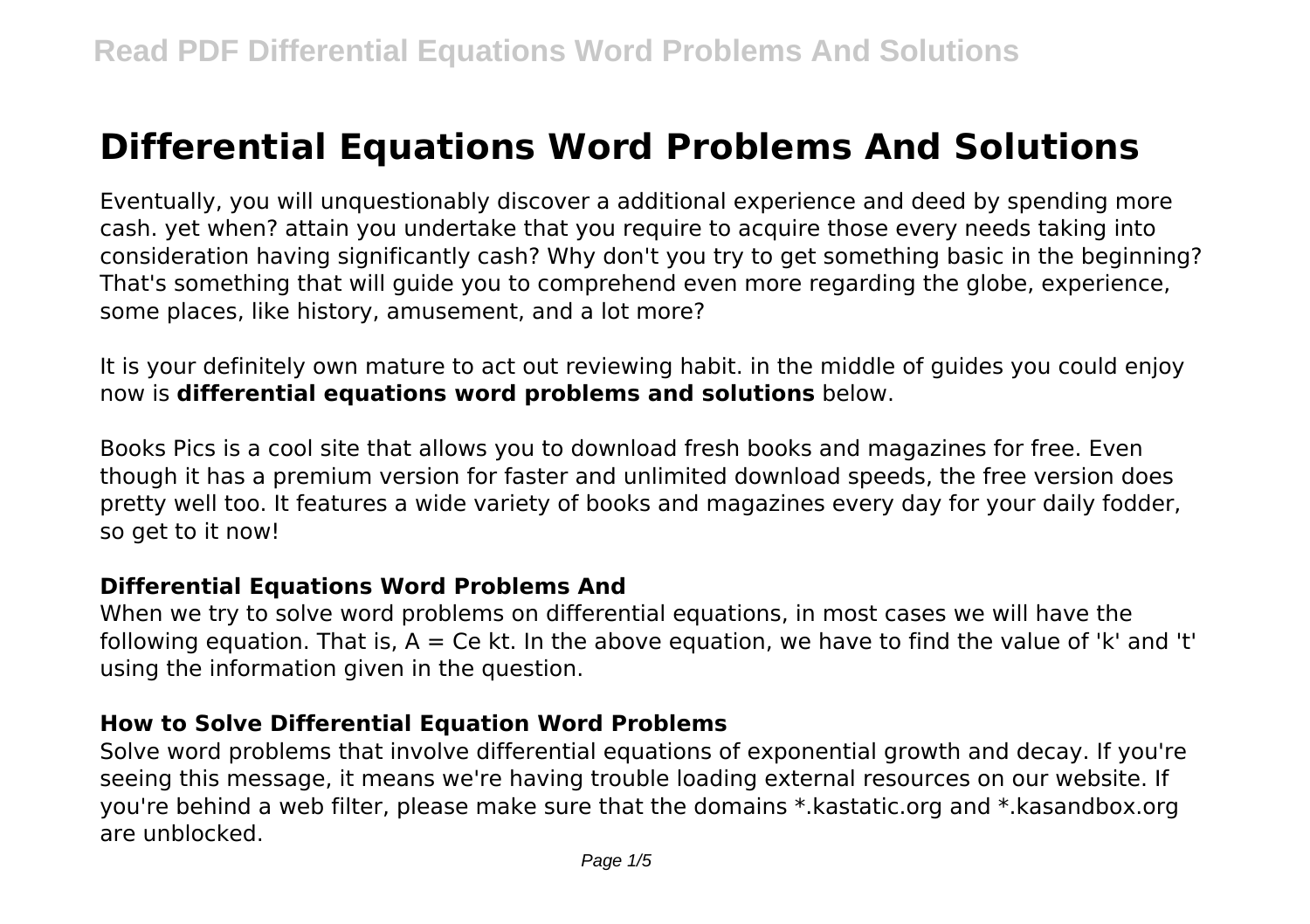# **Differential Equations Word Problems And Solutions**

Eventually, you will unquestionably discover a additional experience and deed by spending more cash. yet when? attain you undertake that you require to acquire those every needs taking into consideration having significantly cash? Why don't you try to get something basic in the beginning? That's something that will guide you to comprehend even more regarding the globe, experience, some places, like history, amusement, and a lot more?

It is your definitely own mature to act out reviewing habit. in the middle of guides you could enjoy now is **differential equations word problems and solutions** below.

Books Pics is a cool site that allows you to download fresh books and magazines for free. Even though it has a premium version for faster and unlimited download speeds, the free version does pretty well too. It features a wide variety of books and magazines every day for your daily fodder, so get to it now!

# **Differential Equations Word Problems And**

When we try to solve word problems on differential equations, in most cases we will have the following equation. That is,  $A = Ce$  kt. In the above equation, we have to find the value of 'k' and 't' using the information given in the question.

# **How to Solve Differential Equation Word Problems**

Solve word problems that involve differential equations of exponential growth and decay. If you're seeing this message, it means we're having trouble loading external resources on our website. If you're behind a web filter, please make sure that the domains \*.kastatic.org and \*.kasandbox.org are unblocked.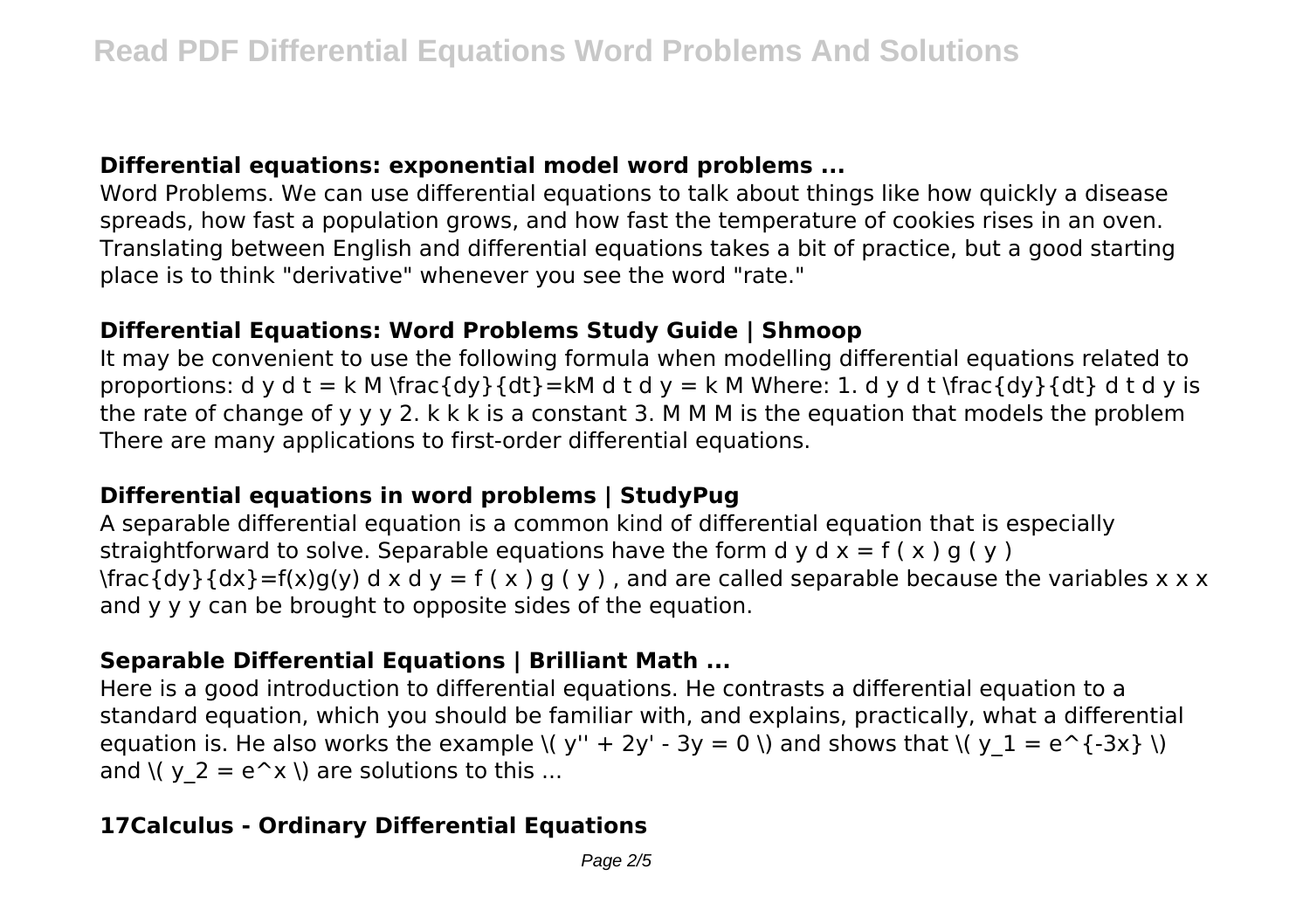## **Differential equations: exponential model word problems ...**

Word Problems. We can use differential equations to talk about things like how quickly a disease spreads, how fast a population grows, and how fast the temperature of cookies rises in an oven. Translating between English and differential equations takes a bit of practice, but a good starting place is to think "derivative" whenever you see the word "rate."

# **Differential Equations: Word Problems Study Guide | Shmoop**

It may be convenient to use the following formula when modelling differential equations related to proportions: d y d t = k M \frac{dy}{dt}=kM d t d y = k M Where: 1. d y d t \frac{dy}{dt} d t d y is the rate of change of y y y 2. k k k is a constant 3. M M M is the equation that models the problem There are many applications to first-order differential equations.

# **Differential equations in word problems | StudyPug**

A separable differential equation is a common kind of differential equation that is especially straightforward to solve. Separable equations have the form d y d  $x = f(x) g(y)$  $\frac{d}{dx}=\frac{f(x)g(y) dx = f(x) g(y) dx$  and are called separable because the variables x x x and y y y can be brought to opposite sides of the equation.

# **Separable Differential Equations | Brilliant Math ...**

Here is a good introduction to differential equations. He contrasts a differential equation to a standard equation, which you should be familiar with, and explains, practically, what a differential equation is. He also works the example  $\langle v'' + 2y' - 3y = 0 \rangle$  and shows that  $\langle v_1 \rangle = e^{-(3x)} \rangle$ and  $\left(\vee$  2 = e^x  $\right)$  are solutions to this ...

# **17Calculus - Ordinary Differential Equations**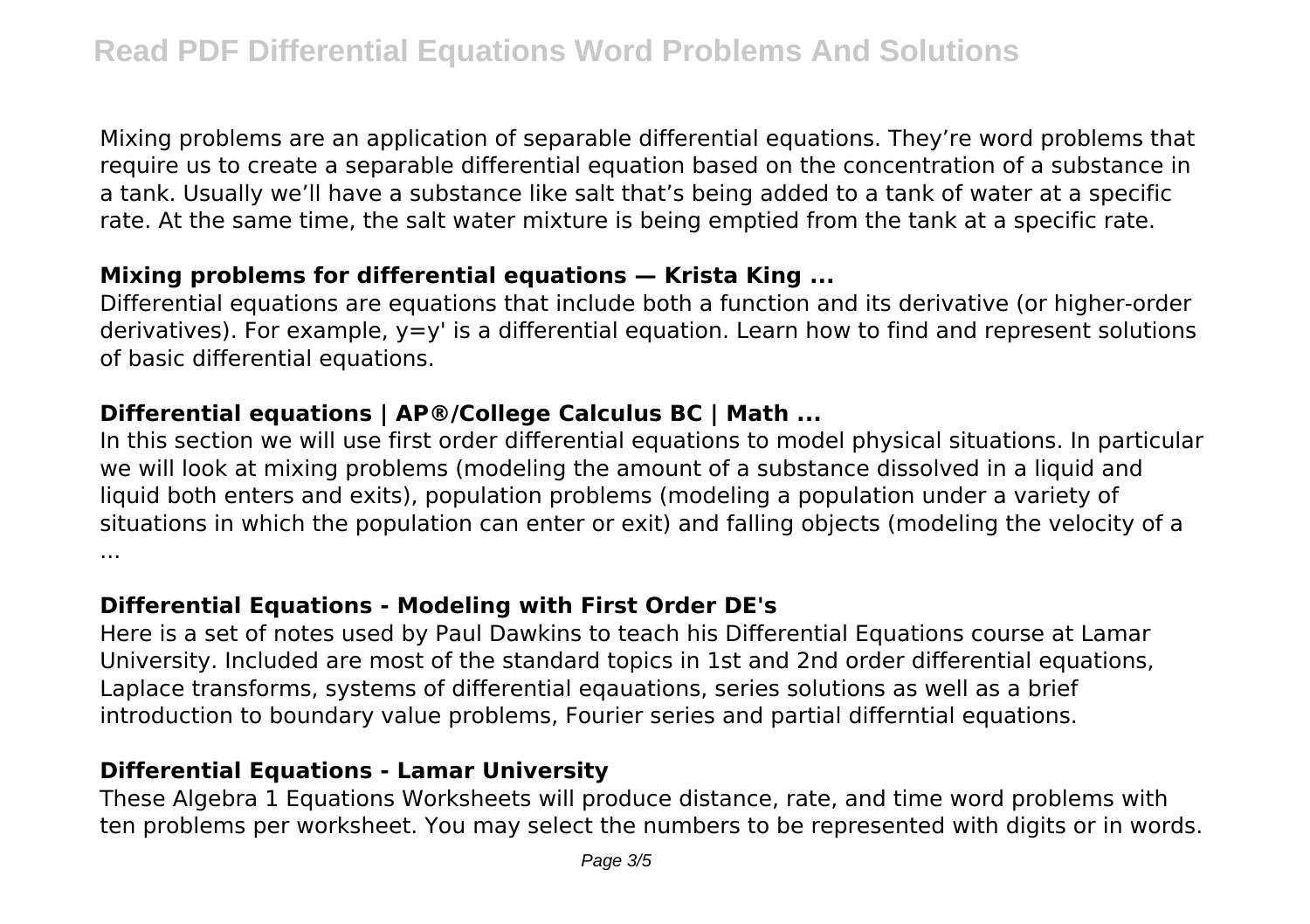Mixing problems are an application of separable differential equations. They're word problems that require us to create a separable differential equation based on the concentration of a substance in a tank. Usually we'll have a substance like salt that's being added to a tank of water at a specific rate. At the same time, the salt water mixture is being emptied from the tank at a specific rate.

#### **Mixing problems for differential equations — Krista King ...**

Differential equations are equations that include both a function and its derivative (or higher-order derivatives). For example, y=y' is a differential equation. Learn how to find and represent solutions of basic differential equations.

## **Differential equations | AP®/College Calculus BC | Math ...**

In this section we will use first order differential equations to model physical situations. In particular we will look at mixing problems (modeling the amount of a substance dissolved in a liquid and liquid both enters and exits), population problems (modeling a population under a variety of situations in which the population can enter or exit) and falling objects (modeling the velocity of a ...

#### **Differential Equations - Modeling with First Order DE's**

Here is a set of notes used by Paul Dawkins to teach his Differential Equations course at Lamar University. Included are most of the standard topics in 1st and 2nd order differential equations, Laplace transforms, systems of differential eqauations, series solutions as well as a brief introduction to boundary value problems, Fourier series and partial differntial equations.

# **Differential Equations - Lamar University**

These Algebra 1 Equations Worksheets will produce distance, rate, and time word problems with ten problems per worksheet. You may select the numbers to be represented with digits or in words.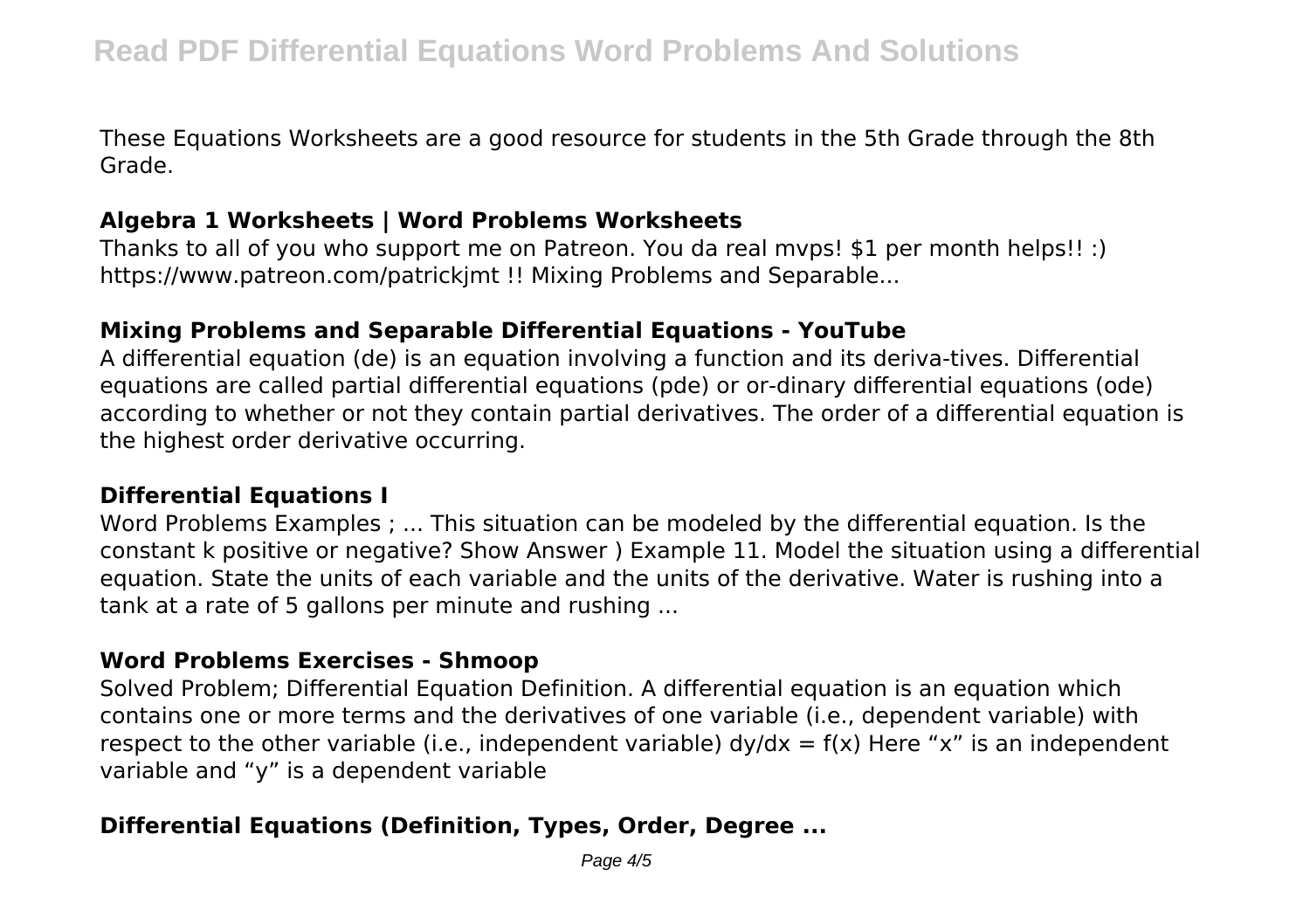These Equations Worksheets are a good resource for students in the 5th Grade through the 8th Grade.

#### **Algebra 1 Worksheets | Word Problems Worksheets**

Thanks to all of you who support me on Patreon. You da real mvps! \$1 per month helps!! :) https://www.patreon.com/patrickjmt !! Mixing Problems and Separable...

#### **Mixing Problems and Separable Differential Equations - YouTube**

A differential equation (de) is an equation involving a function and its deriva-tives. Differential equations are called partial differential equations (pde) or or-dinary differential equations (ode) according to whether or not they contain partial derivatives. The order of a differential equation is the highest order derivative occurring.

#### **Differential Equations I**

Word Problems Examples ; ... This situation can be modeled by the differential equation. Is the constant k positive or negative? Show Answer ) Example 11. Model the situation using a differential equation. State the units of each variable and the units of the derivative. Water is rushing into a tank at a rate of 5 gallons per minute and rushing ...

#### **Word Problems Exercises - Shmoop**

Solved Problem; Differential Equation Definition. A differential equation is an equation which contains one or more terms and the derivatives of one variable (i.e., dependent variable) with respect to the other variable (i.e., independent variable)  $dy/dx = f(x)$  Here "x" is an independent variable and "y" is a dependent variable

# **Differential Equations (Definition, Types, Order, Degree ...**